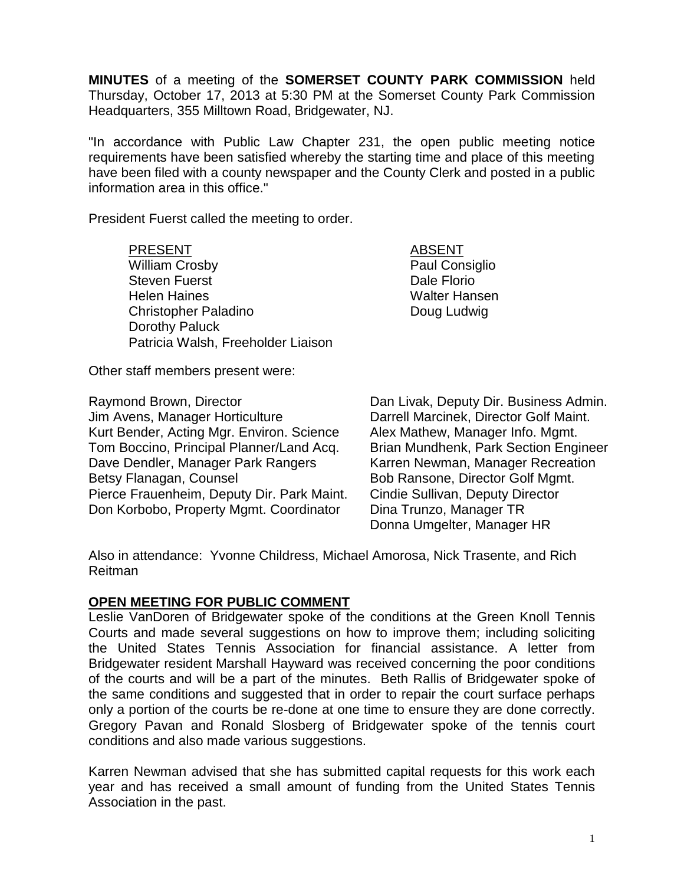**MINUTES** of a meeting of the **SOMERSET COUNTY PARK COMMISSION** held Thursday, October 17, 2013 at 5:30 PM at the Somerset County Park Commission Headquarters, 355 Milltown Road, Bridgewater, NJ.

"In accordance with Public Law Chapter 231, the open public meeting notice requirements have been satisfied whereby the starting time and place of this meeting have been filed with a county newspaper and the County Clerk and posted in a public information area in this office."

President Fuerst called the meeting to order.

PRESENT ABSENT William Crosby **Paul Consiglio** Steven Fuerst **Dale Florio** Helen Haines Walter Hansen Christopher Paladino **Doug Ludwig** Dorothy Paluck Patricia Walsh, Freeholder Liaison

Other staff members present were:

Jim Avens, Manager Horticulture Darrell Marcinek, Director Golf Maint. Kurt Bender, Acting Mgr. Environ. Science Alex Mathew, Manager Info. Mgmt. Tom Boccino, Principal Planner/Land Acq. Brian Mundhenk, Park Section Engineer Dave Dendler, Manager Park Rangers Karren Newman, Manager Recreation Betsy Flanagan, Counsel Bob Ransone, Director Golf Mgmt. Pierce Frauenheim, Deputy Dir. Park Maint. Cindie Sullivan, Deputy Director Don Korbobo, Property Mgmt. Coordinator Dina Trunzo, Manager TR

Raymond Brown, Director **Dan Livak, Deputy Dir. Business Admin.** Donna Umgelter, Manager HR

Also in attendance: Yvonne Childress, Michael Amorosa, Nick Trasente, and Rich Reitman

## **OPEN MEETING FOR PUBLIC COMMENT**

Leslie VanDoren of Bridgewater spoke of the conditions at the Green Knoll Tennis Courts and made several suggestions on how to improve them; including soliciting the United States Tennis Association for financial assistance. A letter from Bridgewater resident Marshall Hayward was received concerning the poor conditions of the courts and will be a part of the minutes. Beth Rallis of Bridgewater spoke of the same conditions and suggested that in order to repair the court surface perhaps only a portion of the courts be re-done at one time to ensure they are done correctly. Gregory Pavan and Ronald Slosberg of Bridgewater spoke of the tennis court conditions and also made various suggestions.

Karren Newman advised that she has submitted capital requests for this work each year and has received a small amount of funding from the United States Tennis Association in the past.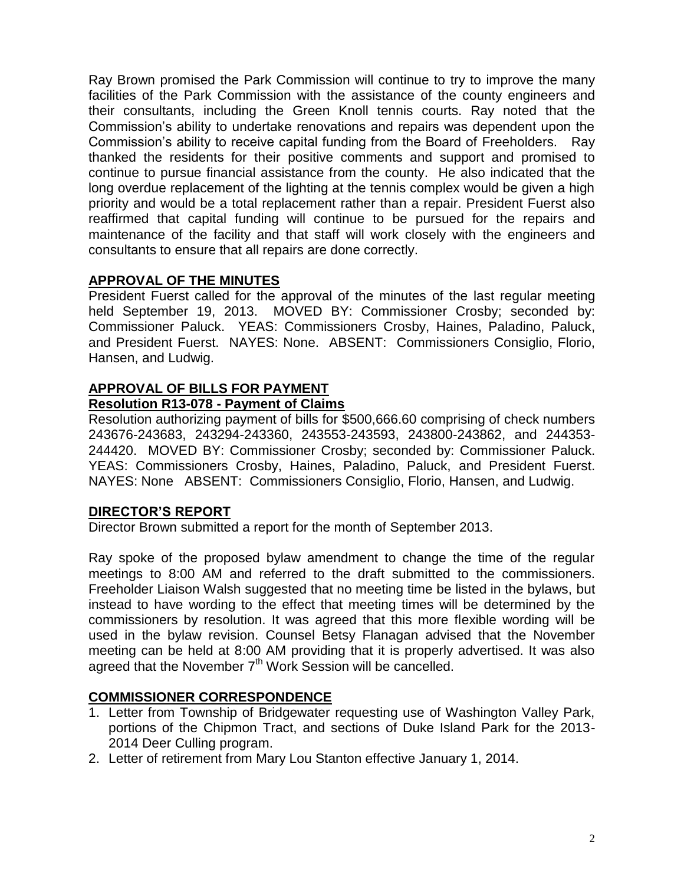Ray Brown promised the Park Commission will continue to try to improve the many facilities of the Park Commission with the assistance of the county engineers and their consultants, including the Green Knoll tennis courts. Ray noted that the Commission's ability to undertake renovations and repairs was dependent upon the Commission's ability to receive capital funding from the Board of Freeholders. Ray thanked the residents for their positive comments and support and promised to continue to pursue financial assistance from the county. He also indicated that the long overdue replacement of the lighting at the tennis complex would be given a high priority and would be a total replacement rather than a repair. President Fuerst also reaffirmed that capital funding will continue to be pursued for the repairs and maintenance of the facility and that staff will work closely with the engineers and consultants to ensure that all repairs are done correctly.

## **APPROVAL OF THE MINUTES**

President Fuerst called for the approval of the minutes of the last regular meeting held September 19, 2013. MOVED BY: Commissioner Crosby; seconded by: Commissioner Paluck. YEAS: Commissioners Crosby, Haines, Paladino, Paluck, and President Fuerst. NAYES: None. ABSENT: Commissioners Consiglio, Florio, Hansen, and Ludwig.

# **APPROVAL OF BILLS FOR PAYMENT**

## **Resolution R13-078 - Payment of Claims**

Resolution authorizing payment of bills for \$500,666.60 comprising of check numbers 243676-243683, 243294-243360, 243553-243593, 243800-243862, and 244353- 244420. MOVED BY: Commissioner Crosby; seconded by: Commissioner Paluck. YEAS: Commissioners Crosby, Haines, Paladino, Paluck, and President Fuerst. NAYES: None ABSENT: Commissioners Consiglio, Florio, Hansen, and Ludwig.

## **DIRECTOR'S REPORT**

Director Brown submitted a report for the month of September 2013.

Ray spoke of the proposed bylaw amendment to change the time of the regular meetings to 8:00 AM and referred to the draft submitted to the commissioners. Freeholder Liaison Walsh suggested that no meeting time be listed in the bylaws, but instead to have wording to the effect that meeting times will be determined by the commissioners by resolution. It was agreed that this more flexible wording will be used in the bylaw revision. Counsel Betsy Flanagan advised that the November meeting can be held at 8:00 AM providing that it is properly advertised. It was also agreed that the November 7<sup>th</sup> Work Session will be cancelled.

## **COMMISSIONER CORRESPONDENCE**

- 1. Letter from Township of Bridgewater requesting use of Washington Valley Park, portions of the Chipmon Tract, and sections of Duke Island Park for the 2013- 2014 Deer Culling program.
- 2. Letter of retirement from Mary Lou Stanton effective January 1, 2014.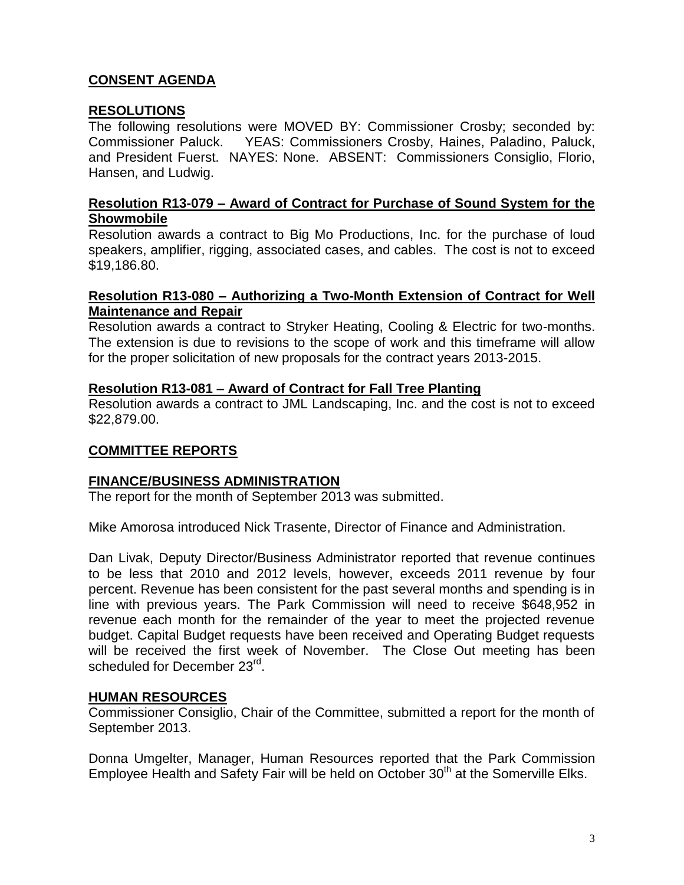# **CONSENT AGENDA**

## **RESOLUTIONS**

The following resolutions were MOVED BY: Commissioner Crosby; seconded by: Commissioner Paluck. YEAS: Commissioners Crosby, Haines, Paladino, Paluck, and President Fuerst. NAYES: None. ABSENT: Commissioners Consiglio, Florio, Hansen, and Ludwig.

### **Resolution R13-079 – Award of Contract for Purchase of Sound System for the Showmobile**

Resolution awards a contract to Big Mo Productions, Inc. for the purchase of loud speakers, amplifier, rigging, associated cases, and cables. The cost is not to exceed \$19,186.80.

### **Resolution R13-080 – Authorizing a Two-Month Extension of Contract for Well Maintenance and Repair**

Resolution awards a contract to Stryker Heating, Cooling & Electric for two-months. The extension is due to revisions to the scope of work and this timeframe will allow for the proper solicitation of new proposals for the contract years 2013-2015.

### **Resolution R13-081 – Award of Contract for Fall Tree Planting**

Resolution awards a contract to JML Landscaping, Inc. and the cost is not to exceed \$22,879.00.

## **COMMITTEE REPORTS**

#### **FINANCE/BUSINESS ADMINISTRATION**

The report for the month of September 2013 was submitted.

Mike Amorosa introduced Nick Trasente, Director of Finance and Administration.

Dan Livak, Deputy Director/Business Administrator reported that revenue continues to be less that 2010 and 2012 levels, however, exceeds 2011 revenue by four percent. Revenue has been consistent for the past several months and spending is in line with previous years. The Park Commission will need to receive \$648,952 in revenue each month for the remainder of the year to meet the projected revenue budget. Capital Budget requests have been received and Operating Budget requests will be received the first week of November. The Close Out meeting has been scheduled for December 23<sup>rd</sup>.

#### **HUMAN RESOURCES**

Commissioner Consiglio, Chair of the Committee, submitted a report for the month of September 2013.

Donna Umgelter, Manager, Human Resources reported that the Park Commission Employee Health and Safety Fair will be held on October 30<sup>th</sup> at the Somerville Elks.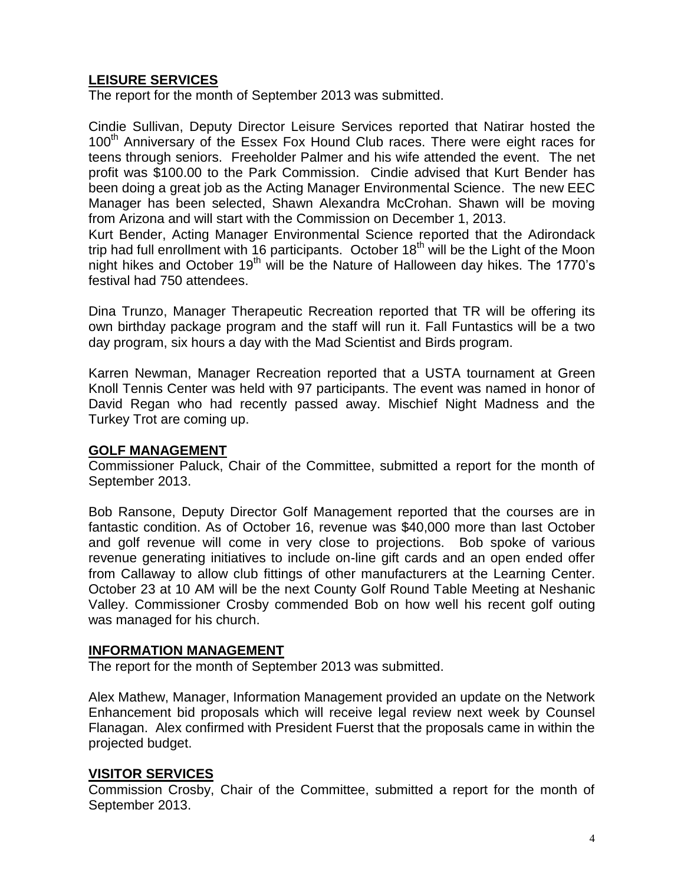## **LEISURE SERVICES**

The report for the month of September 2013 was submitted.

Cindie Sullivan, Deputy Director Leisure Services reported that Natirar hosted the 100<sup>th</sup> Anniversary of the Essex Fox Hound Club races. There were eight races for teens through seniors. Freeholder Palmer and his wife attended the event. The net profit was \$100.00 to the Park Commission. Cindie advised that Kurt Bender has been doing a great job as the Acting Manager Environmental Science. The new EEC Manager has been selected, Shawn Alexandra McCrohan. Shawn will be moving from Arizona and will start with the Commission on December 1, 2013.

Kurt Bender, Acting Manager Environmental Science reported that the Adirondack trip had full enrollment with 16 participants. October  $18<sup>th</sup>$  will be the Light of the Moon night hikes and October 19<sup>th</sup> will be the Nature of Halloween day hikes. The 1770's festival had 750 attendees.

Dina Trunzo, Manager Therapeutic Recreation reported that TR will be offering its own birthday package program and the staff will run it. Fall Funtastics will be a two day program, six hours a day with the Mad Scientist and Birds program.

Karren Newman, Manager Recreation reported that a USTA tournament at Green Knoll Tennis Center was held with 97 participants. The event was named in honor of David Regan who had recently passed away. Mischief Night Madness and the Turkey Trot are coming up.

#### **GOLF MANAGEMENT**

Commissioner Paluck, Chair of the Committee, submitted a report for the month of September 2013.

Bob Ransone, Deputy Director Golf Management reported that the courses are in fantastic condition. As of October 16, revenue was \$40,000 more than last October and golf revenue will come in very close to projections. Bob spoke of various revenue generating initiatives to include on-line gift cards and an open ended offer from Callaway to allow club fittings of other manufacturers at the Learning Center. October 23 at 10 AM will be the next County Golf Round Table Meeting at Neshanic Valley. Commissioner Crosby commended Bob on how well his recent golf outing was managed for his church.

#### **INFORMATION MANAGEMENT**

The report for the month of September 2013 was submitted.

Alex Mathew, Manager, Information Management provided an update on the Network Enhancement bid proposals which will receive legal review next week by Counsel Flanagan. Alex confirmed with President Fuerst that the proposals came in within the projected budget.

## **VISITOR SERVICES**

Commission Crosby, Chair of the Committee, submitted a report for the month of September 2013.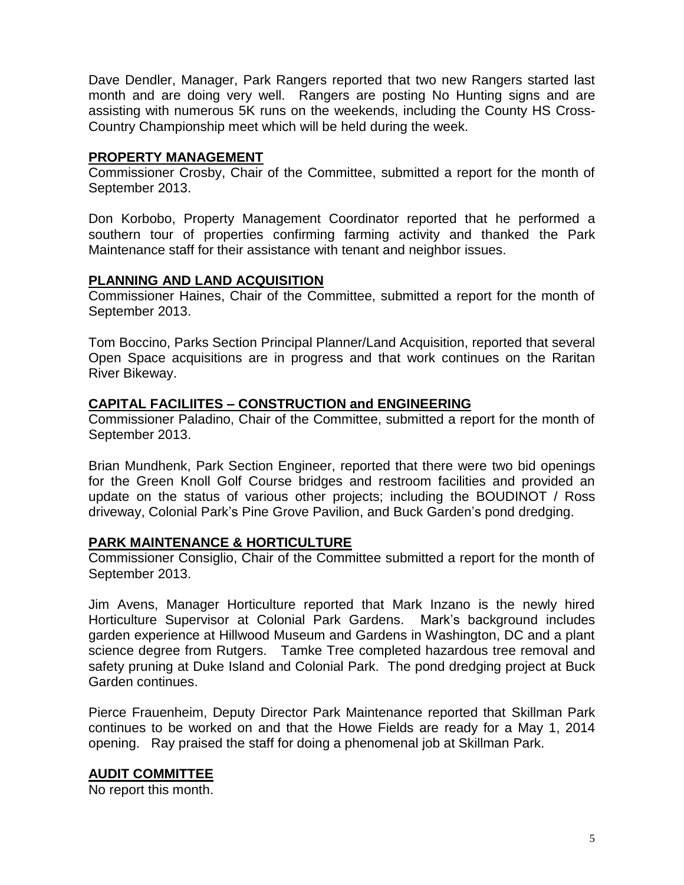Dave Dendler, Manager, Park Rangers reported that two new Rangers started last month and are doing very well. Rangers are posting No Hunting signs and are assisting with numerous 5K runs on the weekends, including the County HS Cross-Country Championship meet which will be held during the week.

## **PROPERTY MANAGEMENT**

Commissioner Crosby, Chair of the Committee, submitted a report for the month of September 2013.

Don Korbobo, Property Management Coordinator reported that he performed a southern tour of properties confirming farming activity and thanked the Park Maintenance staff for their assistance with tenant and neighbor issues.

### **PLANNING AND LAND ACQUISITION**

Commissioner Haines, Chair of the Committee, submitted a report for the month of September 2013.

Tom Boccino, Parks Section Principal Planner/Land Acquisition, reported that several Open Space acquisitions are in progress and that work continues on the Raritan River Bikeway.

### **CAPITAL FACILIITES – CONSTRUCTION and ENGINEERING**

Commissioner Paladino, Chair of the Committee, submitted a report for the month of September 2013.

Brian Mundhenk, Park Section Engineer, reported that there were two bid openings for the Green Knoll Golf Course bridges and restroom facilities and provided an update on the status of various other projects; including the BOUDINOT / Ross driveway, Colonial Park's Pine Grove Pavilion, and Buck Garden's pond dredging.

## **PARK MAINTENANCE & HORTICULTURE**

Commissioner Consiglio, Chair of the Committee submitted a report for the month of September 2013.

Jim Avens, Manager Horticulture reported that Mark Inzano is the newly hired Horticulture Supervisor at Colonial Park Gardens. Mark's background includes garden experience at Hillwood Museum and Gardens in Washington, DC and a plant science degree from Rutgers. Tamke Tree completed hazardous tree removal and safety pruning at Duke Island and Colonial Park. The pond dredging project at Buck Garden continues.

Pierce Frauenheim, Deputy Director Park Maintenance reported that Skillman Park continues to be worked on and that the Howe Fields are ready for a May 1, 2014 opening. Ray praised the staff for doing a phenomenal job at Skillman Park.

## **AUDIT COMMITTEE**

No report this month.